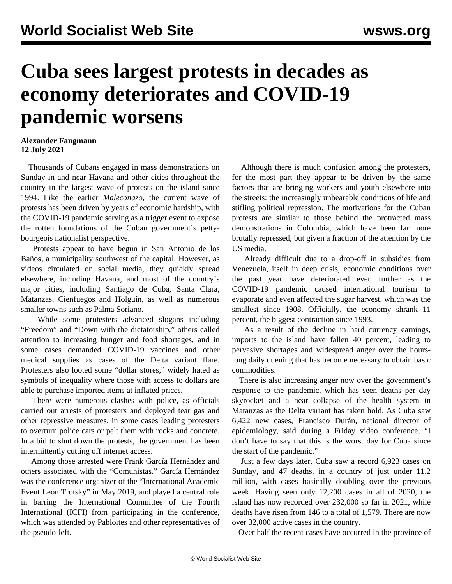## **Cuba sees largest protests in decades as economy deteriorates and COVID-19 pandemic worsens**

## **Alexander Fangmann 12 July 2021**

 Thousands of Cubans engaged in mass demonstrations on Sunday in and near Havana and other cities throughout the country in the largest wave of protests on the island since 1994. Like the earlier *Maleconazo*, the current wave of protests has been driven by years of economic hardship, with the COVID-19 pandemic serving as a trigger event to expose the rotten foundations of the Cuban government's pettybourgeois nationalist perspective.

 Protests appear to have begun in San Antonio de los Baños, a municipality southwest of the capital. However, as videos circulated on social media, they quickly spread elsewhere, including Havana, and most of the country's major cities, including Santiago de Cuba, Santa Clara, Matanzas, Cienfuegos and Holguín, as well as numerous smaller towns such as Palma Soriano.

 While some protesters advanced slogans including "Freedom" and "Down with the dictatorship," others called attention to increasing hunger and food shortages, and in some cases demanded COVID-19 vaccines and other medical supplies as cases of the Delta variant flare. Protesters also looted some "dollar stores," widely hated as symbols of inequality where those with access to dollars are able to purchase imported items at inflated prices.

 There were numerous clashes with police, as officials carried out arrests of protesters and deployed tear gas and other repressive measures, in some cases leading protesters to overturn police cars or pelt them with rocks and concrete. In a bid to shut down the protests, the government has been intermittently cutting off internet access.

 Among those arrested were Frank García Hernández and others associated with the "Comunistas." García Hernández was the [conference organizer](/en/articles/2019/07/12/cuba-j12.html) of the "[International Academic](/en/articles/2019/06/13/cuba-j13.html) [Event Leon Trotsky](/en/articles/2019/06/13/cuba-j13.html)" in May 2019, and played a central role in barring the International Committee of the Fourth International (ICFI) from participating in the conference, which was attended by Pabloites and other representatives of the pseudo-left.

 Although there is much confusion among the protesters, for the most part they appear to be driven by the same factors that are bringing workers and youth elsewhere into the streets: the increasingly unbearable conditions of life and stifling political repression. The motivations for the Cuban protests are similar to those behind the protracted mass demonstrations in Colombia, which have been far more brutally repressed, but given a fraction of the attention by the US media.

 Already difficult due to a drop-off in subsidies from Venezuela, itself in deep crisis, economic conditions over the past year have deteriorated even further as the COVID-19 pandemic caused international tourism to evaporate and even affected the sugar harvest, which was the smallest since 1908. Officially, the economy shrank 11 percent, the biggest contraction since 1993.

 As a result of the decline in hard currency earnings, imports to the island have fallen 40 percent, leading to pervasive shortages and widespread anger over the hourslong daily queuing that has become necessary to obtain basic commodities.

 There is also increasing anger now over the government's response to the pandemic, which has seen deaths per day skyrocket and a near collapse of the health system in Matanzas as the Delta variant has taken hold. As Cuba saw 6,422 new cases, Francisco Durán, national director of epidemiology, said during a Friday video conference, "I don't have to say that this is the worst day for Cuba since the start of the pandemic."

 Just a few days later, Cuba saw a record 6,923 cases on Sunday, and 47 deaths, in a country of just under 11.2 million, with cases basically doubling over the previous week. Having seen only 12,200 cases in all of 2020, the island has now recorded over 232,000 so far in 2021, while deaths have risen from 146 to a total of 1,579. There are now over 32,000 active cases in the country.

Over half the recent cases have occurred in the province of